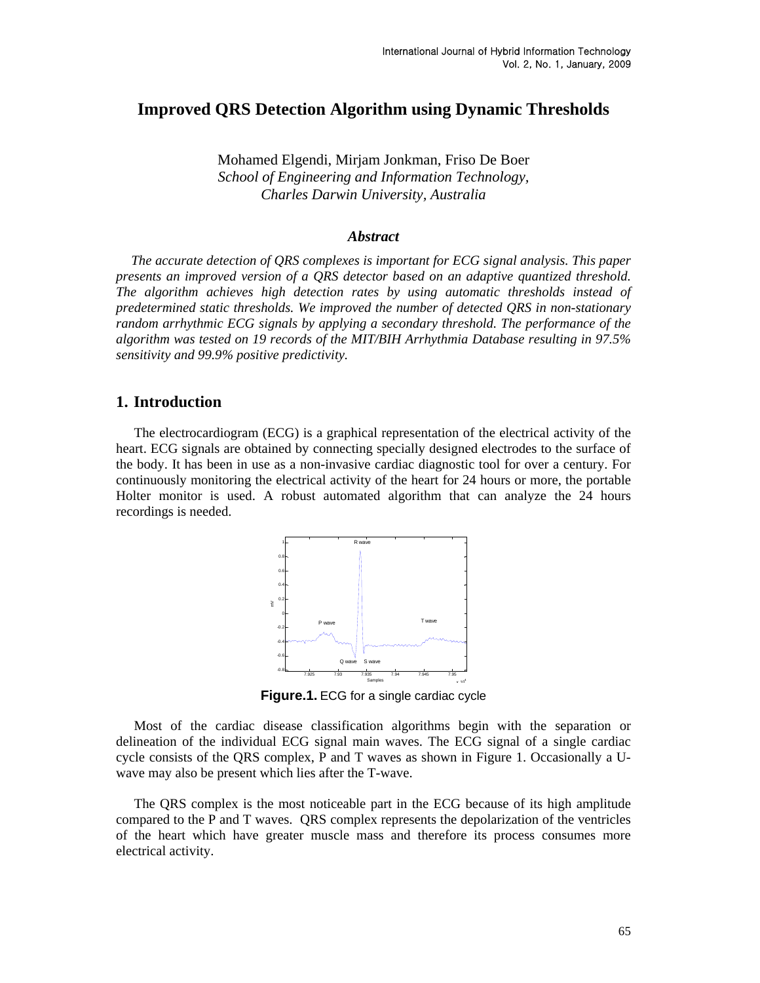## **Improved QRS Detection Algorithm using Dynamic Thresholds**

Mohamed Elgendi, Mirjam Jonkman, Friso De Boer *School of Engineering and Information Technology, Charles Darwin University, Australia* 

#### *Abstract*

*The accurate detection of QRS complexes is important for ECG signal analysis. This paper presents an improved version of a QRS detector based on an adaptive quantized threshold. The algorithm achieves high detection rates by using automatic thresholds instead of predetermined static thresholds. We improved the number of detected QRS in non-stationary random arrhythmic ECG signals by applying a secondary threshold. The performance of the algorithm was tested on 19 records of the MIT/BIH Arrhythmia Database resulting in 97.5% sensitivity and 99.9% positive predictivity.* 

### **1. Introduction**

The electrocardiogram (ECG) is a graphical representation of the electrical activity of the heart. ECG signals are obtained by connecting specially designed electrodes to the surface of the body. It has been in use as a non-invasive cardiac diagnostic tool for over a century. For continuously monitoring the electrical activity of the heart for 24 hours or more, the portable Holter monitor is used. A robust automated algorithm that can analyze the 24 hours recordings is needed.



**Figure.1.** ECG for a single cardiac cycle

Most of the cardiac disease classification algorithms begin with the separation or delineation of the individual ECG signal main waves. The ECG signal of a single cardiac cycle consists of the QRS complex, P and T waves as shown in Figure 1. Occasionally a Uwave may also be present which lies after the T-wave.

The QRS complex is the most noticeable part in the ECG because of its high amplitude compared to the P and T waves. QRS complex represents the depolarization of the ventricles of the heart which have greater muscle mass and therefore its process consumes more electrical activity.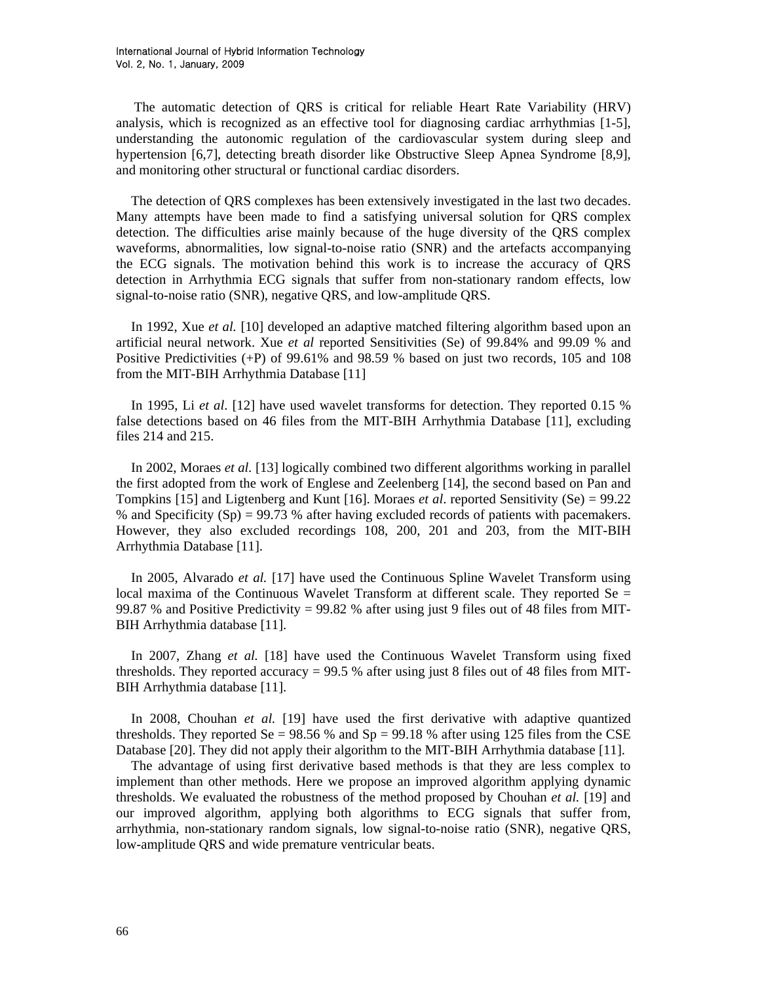The automatic detection of QRS is critical for reliable Heart Rate Variability (HRV) analysis, which is recognized as an effective tool for diagnosing cardiac arrhythmias [1-5], understanding the autonomic regulation of the cardiovascular system during sleep and hypertension [6,7], detecting breath disorder like Obstructive Sleep Apnea Syndrome [8,9], and monitoring other structural or functional cardiac disorders.

The detection of QRS complexes has been extensively investigated in the last two decades. Many attempts have been made to find a satisfying universal solution for QRS complex detection. The difficulties arise mainly because of the huge diversity of the QRS complex waveforms, abnormalities, low signal-to-noise ratio (SNR) and the artefacts accompanying the ECG signals. The motivation behind this work is to increase the accuracy of QRS detection in Arrhythmia ECG signals that suffer from non-stationary random effects, low signal-to-noise ratio (SNR), negative QRS, and low-amplitude QRS.

In 1992, Xue *et al.* [10] developed an adaptive matched filtering algorithm based upon an artificial neural network. Xue *et al* reported Sensitivities (Se) of 99.84% and 99.09 % and Positive Predictivities (+P) of 99.61% and 98.59 % based on just two records, 105 and 108 from the MIT-BIH Arrhythmia Database [11]

In 1995, Li *et al*. [12] have used wavelet transforms for detection. They reported 0.15 % false detections based on 46 files from the MIT-BIH Arrhythmia Database [11], excluding files 214 and 215.

In 2002, Moraes *et al.* [13] logically combined two different algorithms working in parallel the first adopted from the work of Englese and Zeelenberg [14], the second based on Pan and Tompkins [15] and Ligtenberg and Kunt [16]. Moraes *et al*. reported Sensitivity (Se) = 99.22 % and Specificity (Sp) = 99.73 % after having excluded records of patients with pacemakers. However, they also excluded recordings 108, 200, 201 and 203, from the MIT-BIH Arrhythmia Database [11].

In 2005, Alvarado *et al.* [17] have used the Continuous Spline Wavelet Transform using local maxima of the Continuous Wavelet Transform at different scale. They reported  $\text{Se} =$ 99.87 % and Positive Predictivity = 99.82 % after using just 9 files out of 48 files from MIT-BIH Arrhythmia database [11].

In 2007, Zhang *et al.* [18] have used the Continuous Wavelet Transform using fixed thresholds. They reported accuracy  $= 99.5$  % after using just 8 files out of 48 files from MIT-BIH Arrhythmia database [11].

In 2008, Chouhan *et al.* [19] have used the first derivative with adaptive quantized thresholds. They reported Se =  $98.56$  % and Sp =  $99.18$  % after using 125 files from the CSE Database [20]. They did not apply their algorithm to the MIT-BIH Arrhythmia database [11].

The advantage of using first derivative based methods is that they are less complex to implement than other methods. Here we propose an improved algorithm applying dynamic thresholds. We evaluated the robustness of the method proposed by Chouhan *et al.* [19] and our improved algorithm, applying both algorithms to ECG signals that suffer from, arrhythmia, non-stationary random signals, low signal-to-noise ratio (SNR), negative QRS, low-amplitude QRS and wide premature ventricular beats.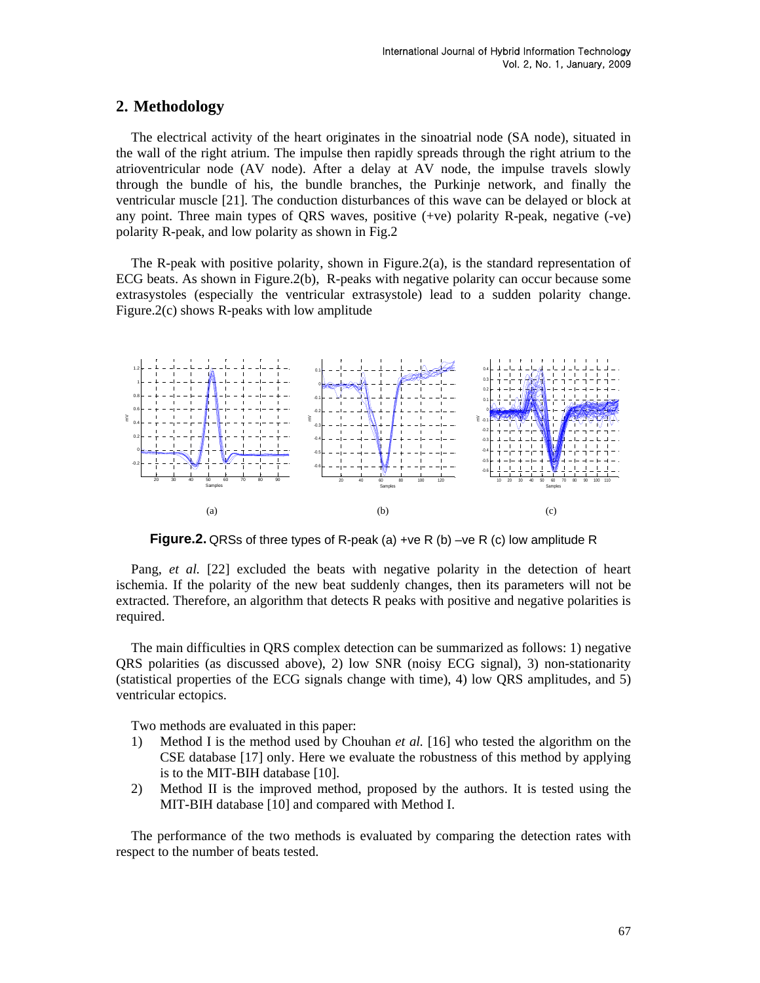### **2. Methodology**

The electrical activity of the heart originates in the sinoatrial node (SA node), situated in the wall of the right atrium. The impulse then rapidly spreads through the right atrium to the atrioventricular node (AV node). After a delay at AV node, the impulse travels slowly through the bundle of his, the bundle branches, the Purkinje network, and finally the ventricular muscle [21]. The conduction disturbances of this wave can be delayed or block at any point. Three main types of QRS waves, positive (+ve) polarity R-peak, negative (-ve) polarity R-peak, and low polarity as shown in Fig.2

The R-peak with positive polarity, shown in Figure.  $2(a)$ , is the standard representation of ECG beats. As shown in Figure.2(b), R-peaks with negative polarity can occur because some extrasystoles (especially the ventricular extrasystole) lead to a sudden polarity change. Figure.2(c) shows R-peaks with low amplitude



**Figure.2.** QRSs of three types of R-peak (a) +ve R (b) –ve R (c) low amplitude R

Pang, *et al.* [22] excluded the beats with negative polarity in the detection of heart ischemia. If the polarity of the new beat suddenly changes, then its parameters will not be extracted. Therefore, an algorithm that detects R peaks with positive and negative polarities is required.

The main difficulties in QRS complex detection can be summarized as follows: 1) negative QRS polarities (as discussed above), 2) low SNR (noisy ECG signal), 3) non-stationarity (statistical properties of the ECG signals change with time), 4) low QRS amplitudes, and 5) ventricular ectopics.

Two methods are evaluated in this paper:

- 1) Method I is the method used by Chouhan *et al.* [16] who tested the algorithm on the CSE database [17] only. Here we evaluate the robustness of this method by applying is to the MIT-BIH database [10].
- 2) Method II is the improved method, proposed by the authors. It is tested using the MIT-BIH database [10] and compared with Method I.

The performance of the two methods is evaluated by comparing the detection rates with respect to the number of beats tested.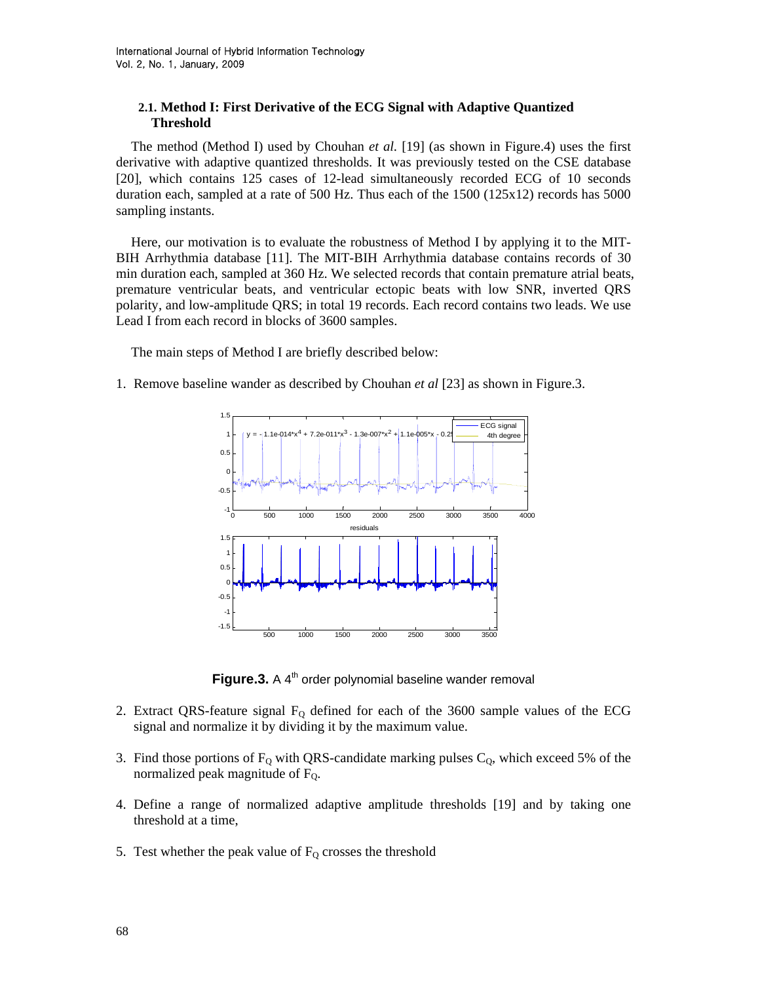### **2.1. Method I: First Derivative of the ECG Signal with Adaptive Quantized Threshold**

The method (Method I) used by Chouhan *et al.* [19] (as shown in Figure.4) uses the first derivative with adaptive quantized thresholds. It was previously tested on the CSE database [20], which contains 125 cases of 12-lead simultaneously recorded ECG of 10 seconds duration each, sampled at a rate of 500 Hz. Thus each of the 1500 (125x12) records has 5000 sampling instants.

Here, our motivation is to evaluate the robustness of Method I by applying it to the MIT-BIH Arrhythmia database [11]. The MIT-BIH Arrhythmia database contains records of 30 min duration each, sampled at 360 Hz. We selected records that contain premature atrial beats, premature ventricular beats, and ventricular ectopic beats with low SNR, inverted QRS polarity, and low-amplitude QRS; in total 19 records. Each record contains two leads. We use Lead I from each record in blocks of 3600 samples.

The main steps of Method I are briefly described below:

1. Remove baseline wander as described by Chouhan *et al* [23] as shown in Figure.3.



**Figure.3.** A 4<sup>th</sup> order polynomial baseline wander removal

- 2. Extract QRS-feature signal  $F<sub>0</sub>$  defined for each of the 3600 sample values of the ECG signal and normalize it by dividing it by the maximum value.
- 3. Find those portions of  $F_0$  with QRS-candidate marking pulses  $C_0$ , which exceed 5% of the normalized peak magnitude of  $F<sub>0</sub>$ .
- 4. Define a range of normalized adaptive amplitude thresholds [19] and by taking one threshold at a time,
- 5. Test whether the peak value of  $F_Q$  crosses the threshold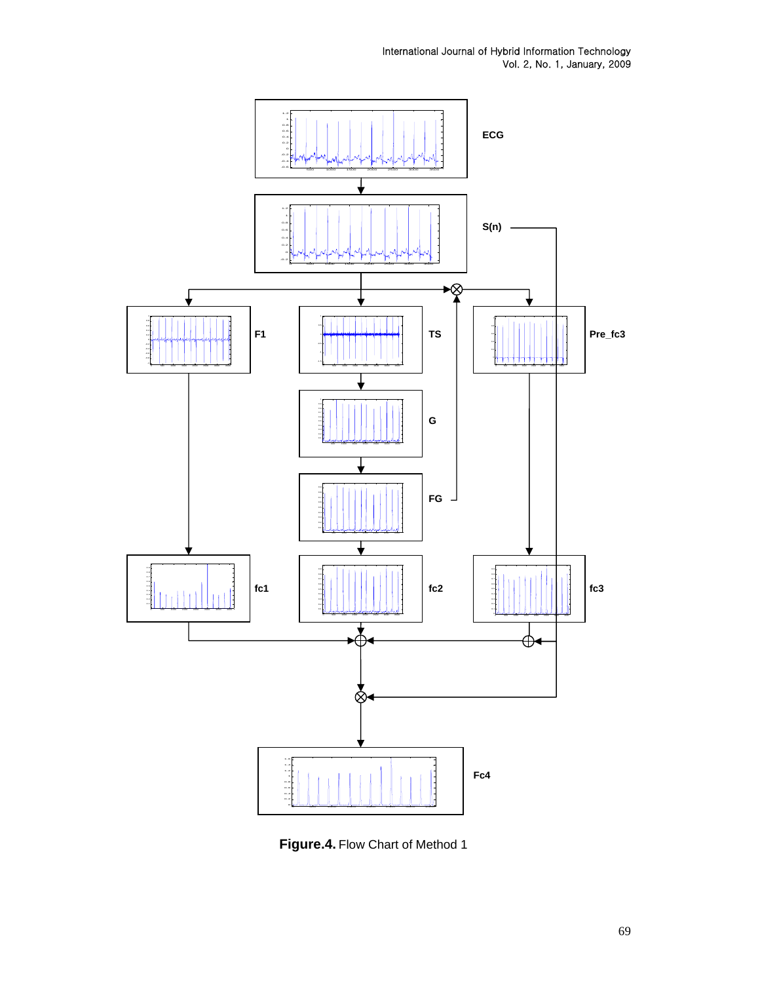International Journal of Hybrid Information Technology Vol. 2, No. 1, January, 2009



**Figure.4.** Flow Chart of Method 1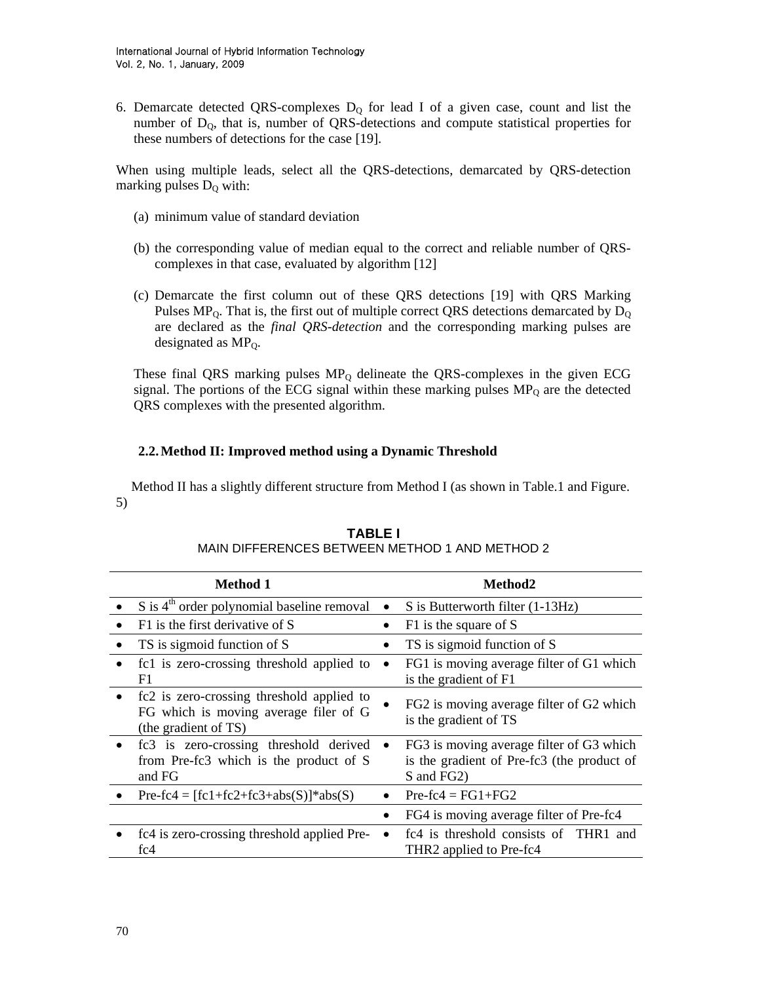6. Demarcate detected QRS-complexes  $D_Q$  for lead I of a given case, count and list the number of  $D_0$ , that is, number of QRS-detections and compute statistical properties for these numbers of detections for the case [19].

When using multiple leads, select all the QRS-detections, demarcated by QRS-detection marking pulses  $D_0$  with:

- (a) minimum value of standard deviation
- (b) the corresponding value of median equal to the correct and reliable number of QRScomplexes in that case, evaluated by algorithm [12]
- (c) Demarcate the first column out of these QRS detections [19] with QRS Marking Pulses MP<sub>0</sub>. That is, the first out of multiple correct QRS detections demarcated by  $D<sub>Q</sub>$ are declared as the *final QRS-detection* and the corresponding marking pulses are designated as  $MP_0$ .

These final QRS marking pulses  $MP_Q$  delineate the QRS-complexes in the given ECG signal. The portions of the ECG signal within these marking pulses  $MP<sub>Q</sub>$  are the detected QRS complexes with the presented algorithm.

#### **2.2.Method II: Improved method using a Dynamic Threshold**

Method II has a slightly different structure from Method I (as shown in Table.1 and Figure. 5)

|           | <b>Method 1</b>                                                                                            | Method2                                                                                              |  |  |
|-----------|------------------------------------------------------------------------------------------------------------|------------------------------------------------------------------------------------------------------|--|--|
|           | $S$ is $4th$ order polynomial baseline removal                                                             | S is Butterworth filter (1-13Hz)                                                                     |  |  |
|           | F1 is the first derivative of S                                                                            | F1 is the square of S                                                                                |  |  |
|           | TS is sigmoid function of S                                                                                | TS is sigmoid function of S                                                                          |  |  |
|           | fc1 is zero-crossing threshold applied to<br>F1                                                            | FG1 is moving average filter of G1 which<br>is the gradient of F1                                    |  |  |
| $\bullet$ | fc2 is zero-crossing threshold applied to<br>FG which is moving average filer of G<br>(the gradient of TS) | FG2 is moving average filter of G2 which<br>is the gradient of TS                                    |  |  |
| $\bullet$ | fc3 is zero-crossing threshold derived<br>from Pre-fc3 which is the product of S<br>and FG                 | FG3 is moving average filter of G3 which<br>is the gradient of Pre-fc3 (the product of<br>S and FG2) |  |  |
|           | $Pre-fc4 = [fc1+fc2+fc3+abs(S)]*abs(S)$                                                                    | $Pre-fc4 = FG1 + FG2$                                                                                |  |  |
|           |                                                                                                            | FG4 is moving average filter of Pre-fc4                                                              |  |  |
|           | fc4 is zero-crossing threshold applied Pre-<br>fc4                                                         | fc4 is threshold consists of THR1 and<br>THR2 applied to Pre-fc4                                     |  |  |

#### **TABLE I**

#### MAIN DIFFERENCES BETWEEN METHOD 1 AND METHOD 2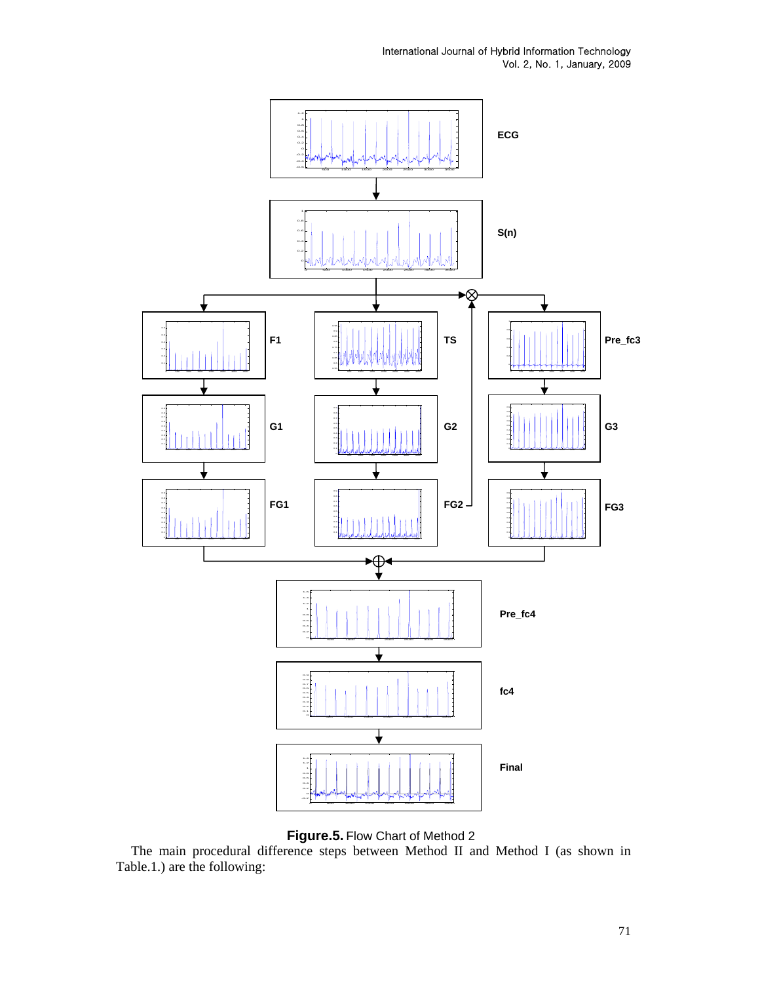International Journal of Hybrid Information Technology Vol. 2, No. 1, January, 2009



**Figure.5.** Flow Chart of Method 2

The main procedural difference steps between Method II and Method I (as shown in Table.1.) are the following:

71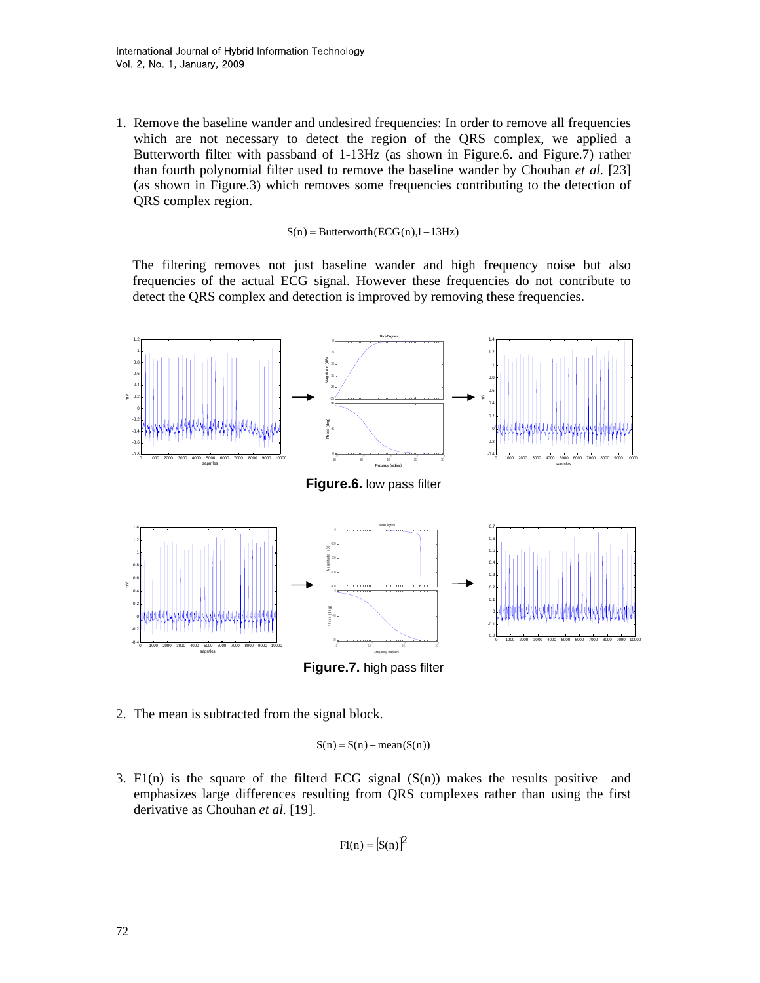1. Remove the baseline wander and undesired frequencies: In order to remove all frequencies which are not necessary to detect the region of the QRS complex, we applied a Butterworth filter with passband of 1-13Hz (as shown in Figure.6. and Figure.7) rather than fourth polynomial filter used to remove the baseline wander by Chouhan *et al.* [23] (as shown in Figure.3) which removes some frequencies contributing to the detection of QRS complex region.

 $S(n) = Butterworth(ECG(n),1-13Hz)$ 

The filtering removes not just baseline wander and high frequency noise but also frequencies of the actual ECG signal. However these frequencies do not contribute to detect the QRS complex and detection is improved by removing these frequencies.



2. The mean is subtracted from the signal block.

 $S(n) = S(n) - \text{mean}(S(n))$ 

3. F1(n) is the square of the filterd ECG signal  $(S(n))$  makes the results positive and emphasizes large differences resulting from QRS complexes rather than using the first derivative as Chouhan *et al.* [19].

$$
Fl(n) = [S(n)]^2
$$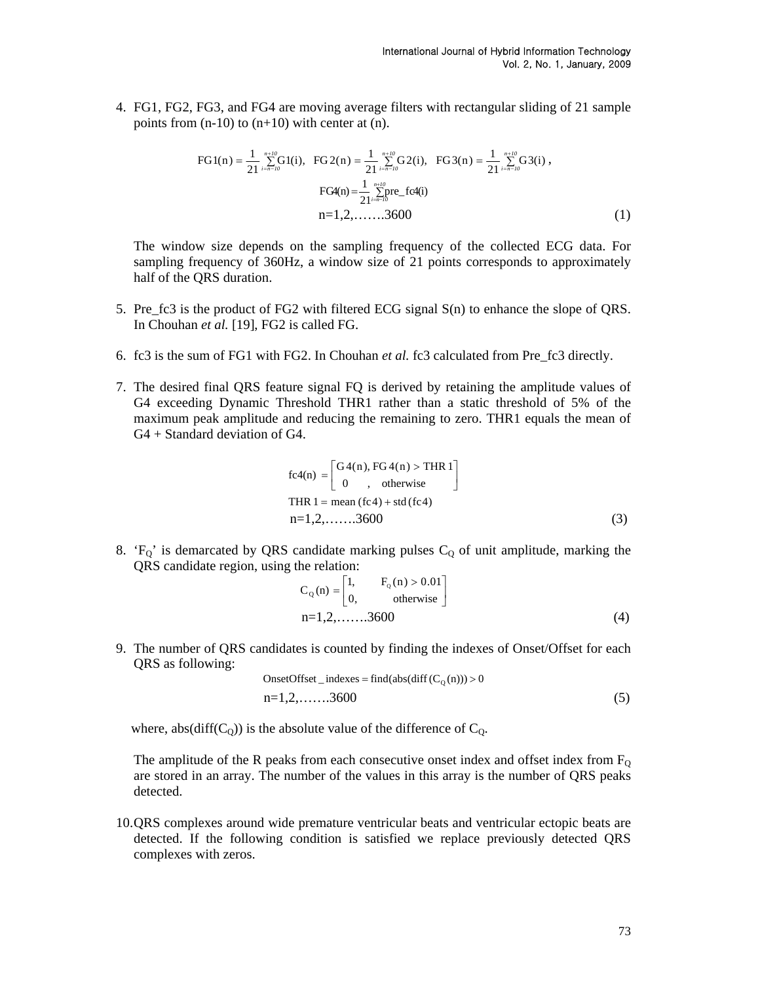4. FG1, FG2, FG3, and FG4 are moving average filters with rectangular sliding of 21 sample points from  $(n-10)$  to  $(n+10)$  with center at  $(n)$ .

$$
\text{FG1}(n) = \frac{1}{21} \sum_{i=n-l0}^{n+l0} \text{G1}(i), \quad \text{FG2}(n) = \frac{1}{21} \sum_{i=n-l0}^{n+l0} \text{G2}(i), \quad \text{FG3}(n) = \frac{1}{21} \sum_{i=n-l0}^{n+l0} \text{G3}(i),
$$
\n
$$
\text{FG4}(n) = \frac{1}{21} \sum_{i=n-l0}^{n+l0} \text{pre\_f2}(i)
$$
\n
$$
n = 1, 2, \dots, 3600 \tag{1}
$$

The window size depends on the sampling frequency of the collected ECG data. For sampling frequency of 360Hz, a window size of 21 points corresponds to approximately half of the QRS duration.

- 5. Pre\_fc3 is the product of FG2 with filtered ECG signal S(n) to enhance the slope of QRS. In Chouhan *et al.* [19], FG2 is called FG.
- 6. fc3 is the sum of FG1 with FG2. In Chouhan *et al.* fc3 calculated from Pre\_fc3 directly.
- 7. The desired final QRS feature signal FQ is derived by retaining the amplitude values of G4 exceeding Dynamic Threshold THR1 rather than a static threshold of 5% of the maximum peak amplitude and reducing the remaining to zero. THR1 equals the mean of G4 + Standard deviation of G4.

fc4(n) = 
$$
\begin{bmatrix} G4(n), FG4(n) > THR 1 \\ 0, \quad \text{otherwise} \end{bmatrix}
$$
  
THR 1 = mean (fc4) + std (fc4)  
n=1,2,......3600 (3)

8. ' $F_Q$ ' is demarcated by QRS candidate marking pulses  $C_Q$  of unit amplitude, marking the QRS candidate region, using the relation:

$$
C_Q(n) = \begin{bmatrix} 1, & F_Q(n) > 0.01 \\ 0, & \text{otherwise} \end{bmatrix}
$$
  
n=1,2,......3600 (4)

9. The number of QRS candidates is counted by finding the indexes of Onset/Offset for each QRS as following:

indexes\_tOnsetOffse = <sup>Q</sup> > 0(n)))C(diff(abs(find n=1,2,…….3600 (5)

where, abs(diff( $C_Q$ )) is the absolute value of the difference of  $C_Q$ .

The amplitude of the R peaks from each consecutive onset index and offset index from  $F<sub>O</sub>$ are stored in an array. The number of the values in this array is the number of QRS peaks detected.

10.QRS complexes around wide premature ventricular beats and ventricular ectopic beats are detected. If the following condition is satisfied we replace previously detected QRS complexes with zeros.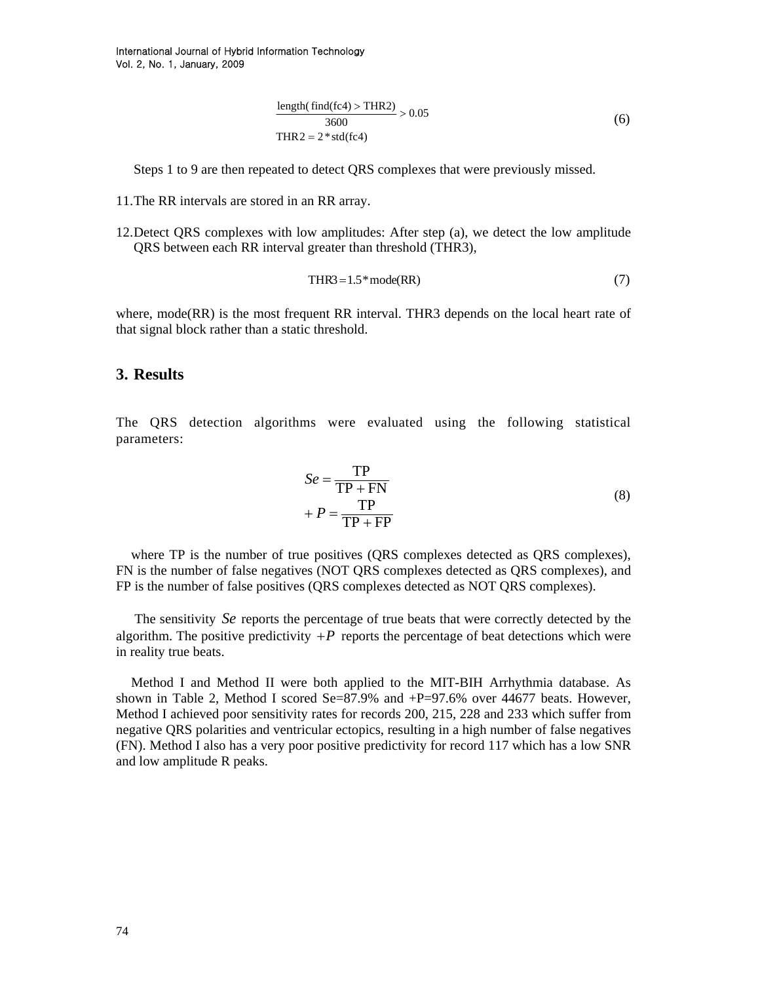$$
\frac{\text{length}(\text{find}(fc4) > \text{THR2})}{3600} > 0.05\tag{6}
$$
  
THR2 = 2 \* std(fc4)

Steps 1 to 9 are then repeated to detect QRS complexes that were previously missed.

- 11.The RR intervals are stored in an RR array.
- 12.Detect QRS complexes with low amplitudes: After step (a), we detect the low amplitude QRS between each RR interval greater than threshold (THR3),

$$
THR3 = 1.5 * mode(RR)
$$
 (7)

where, mode(RR) is the most frequent RR interval. THR3 depends on the local heart rate of that signal block rather than a static threshold.

### **3. Results**

The QRS detection algorithms were evaluated using the following statistical parameters:

$$
Se = \frac{TP}{TP + FN}
$$
  
+  $P = \frac{TP}{TP + FP}$  (8)

where TP is the number of true positives (QRS complexes detected as QRS complexes), FN is the number of false negatives (NOT QRS complexes detected as QRS complexes), and FP is the number of false positives (QRS complexes detected as NOT QRS complexes).

The sensitivity Se reports the percentage of true beats that were correctly detected by the algorithm. The positive predictivity  $+P$  reports the percentage of beat detections which were in reality true beats.

Method I and Method II were both applied to the MIT-BIH Arrhythmia database. As shown in Table 2, Method I scored Se=87.9% and  $+P=97.6\%$  over 44677 beats. However, Method I achieved poor sensitivity rates for records 200, 215, 228 and 233 which suffer from negative QRS polarities and ventricular ectopics, resulting in a high number of false negatives (FN). Method I also has a very poor positive predictivity for record 117 which has a low SNR and low amplitude R peaks.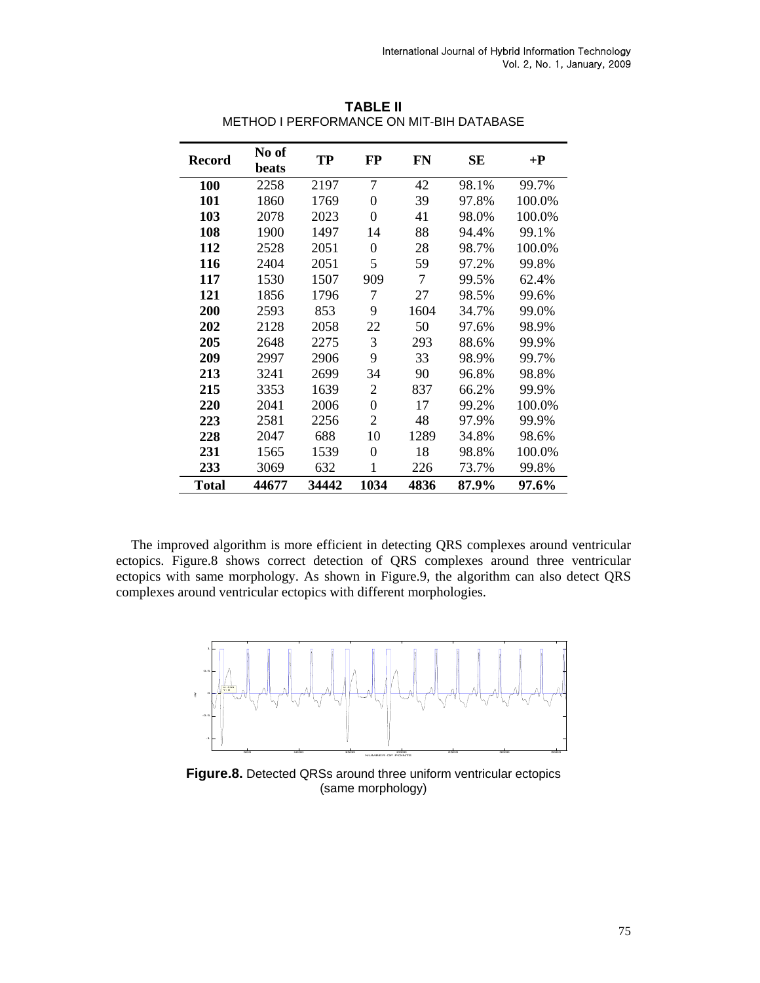| <b>Record</b> | No of<br>beats | <b>TP</b> | FP             | <b>FN</b> | <b>SE</b> | $+{\bf P}$ |
|---------------|----------------|-----------|----------------|-----------|-----------|------------|
| <b>100</b>    | 2258           | 2197      | 7              | 42        | 98.1%     | 99.7%      |
| 101           | 1860           | 1769      | $\theta$       | 39        | 97.8%     | 100.0%     |
| 103           | 2078           | 2023      | $\theta$       | 41        | 98.0%     | 100.0%     |
| 108           | 1900           | 1497      | 14             | 88        | 94.4%     | 99.1%      |
| 112           | 2528           | 2051      | $\theta$       | 28        | 98.7%     | 100.0%     |
| 116           | 2404           | 2051      | 5              | 59        | 97.2%     | 99.8%      |
| 117           | 1530           | 1507      | 909            | 7         | 99.5%     | 62.4%      |
| 121           | 1856           | 1796      | 7              | 27        | 98.5%     | 99.6%      |
| 200           | 2593           | 853       | 9              | 1604      | 34.7%     | 99.0%      |
| 202           | 2128           | 2058      | 22             | 50        | 97.6%     | 98.9%      |
| 205           | 2648           | 2275      | 3              | 293       | 88.6%     | 99.9%      |
| 209           | 2997           | 2906      | 9              | 33        | 98.9%     | 99.7%      |
| 213           | 3241           | 2699      | 34             | 90        | 96.8%     | 98.8%      |
| 215           | 3353           | 1639      | $\overline{2}$ | 837       | 66.2%     | 99.9%      |
| 220           | 2041           | 2006      | $\overline{0}$ | 17        | 99.2%     | 100.0%     |
| 223           | 2581           | 2256      | 2              | 48        | 97.9%     | 99.9%      |
| 228           | 2047           | 688       | 10             | 1289      | 34.8%     | 98.6%      |
| 231           | 1565           | 1539      | $\theta$       | 18        | 98.8%     | 100.0%     |
| 233           | 3069           | 632       | 1              | 226       | 73.7%     | 99.8%      |
| <b>Total</b>  | 44677          | 34442     | 1034           | 4836      | 87.9%     | 97.6%      |

**TABLE II**  METHOD I PERFORMANCE ON MIT-BIH DATABASE

The improved algorithm is more efficient in detecting QRS complexes around ventricular ectopics. Figure.8 shows correct detection of QRS complexes around three ventricular ectopics with same morphology. As shown in Figure.9, the algorithm can also detect QRS complexes around ventricular ectopics with different morphologies.



**Figure.8.** Detected QRSs around three uniform ventricular ectopics (same morphology)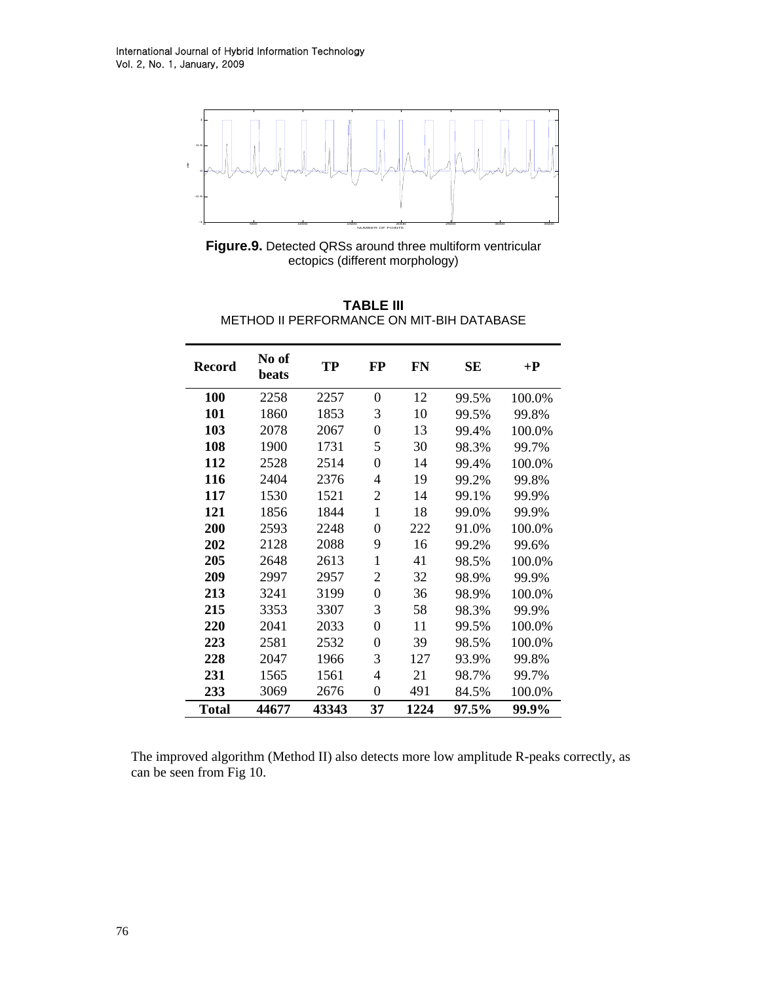

**Figure.9.** Detected QRSs around three multiform ventricular ectopics (different morphology)

| TABLE III                                 |  |  |  |  |  |
|-------------------------------------------|--|--|--|--|--|
| METHOD II PERFORMANCE ON MIT-BIH DATABASE |  |  |  |  |  |

| <b>Record</b> | No of<br>beats | <b>TP</b> | <b>FP</b>      | <b>FN</b> | <b>SE</b> | $+{\bf P}$ |
|---------------|----------------|-----------|----------------|-----------|-----------|------------|
| 100           | 2258           | 2257      | 0              | 12        | 99.5%     | 100.0%     |
| 101           | 1860           | 1853      | 3              | 10        | 99.5%     | 99.8%      |
| 103           | 2078           | 2067      | $\overline{0}$ | 13        | 99.4%     | 100.0%     |
| 108           | 1900           | 1731      | 5              | 30        | 98.3%     | 99.7%      |
| 112           | 2528           | 2514      | $\overline{0}$ | 14        | 99.4%     | 100.0%     |
| 116           | 2404           | 2376      | $\overline{4}$ | 19        | 99.2%     | 99.8%      |
| 117           | 1530           | 1521      | 2              | 14        | 99.1%     | 99.9%      |
| 121           | 1856           | 1844      | $\mathbf{1}$   | 18        | 99.0%     | 99.9%      |
| 200           | 2593           | 2248      | $\theta$       | 222       | 91.0%     | 100.0%     |
| 202           | 2128           | 2088      | 9              | 16        | 99.2%     | 99.6%      |
| 205           | 2648           | 2613      | $\mathbf 1$    | 41        | 98.5%     | 100.0%     |
| 209           | 2997           | 2957      | $\overline{2}$ | 32        | 98.9%     | 99.9%      |
| 213           | 3241           | 3199      | 0              | 36        | 98.9%     | 100.0%     |
| 215           | 3353           | 3307      | 3              | 58        | 98.3%     | 99.9%      |
| 220           | 2041           | 2033      | $\theta$       | 11        | 99.5%     | 100.0%     |
| 223           | 2581           | 2532      | 0              | 39        | 98.5%     | 100.0%     |
| 228           | 2047           | 1966      | 3              | 127       | 93.9%     | 99.8%      |
| 231           | 1565           | 1561      | 4              | 21        | 98.7%     | 99.7%      |
| 233           | 3069           | 2676      | $\overline{0}$ | 491       | 84.5%     | 100.0%     |
| Total         | 44677          | 43343     | 37             | 1224      | 97.5%     | 99.9%      |

The improved algorithm (Method II) also detects more low amplitude R-peaks correctly, as can be seen from Fig 10.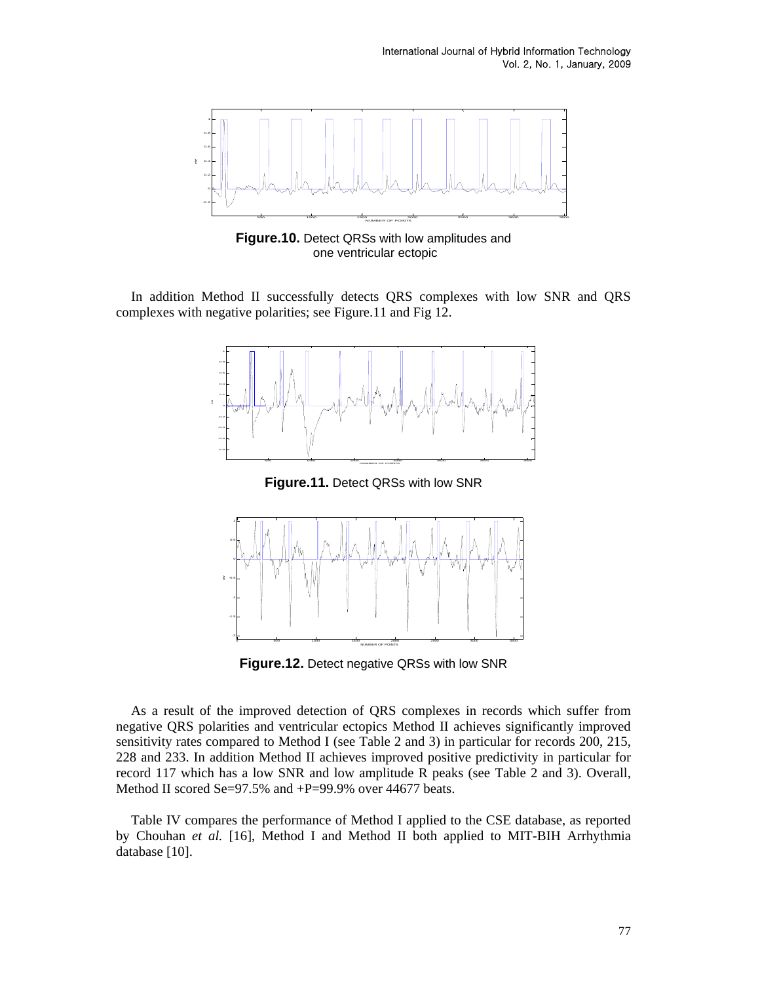

**Figure.10.** Detect QRSs with low amplitudes and one ventricular ectopic

In addition Method II successfully detects QRS complexes with low SNR and QRS complexes with negative polarities; see Figure.11 and Fig 12.



**Figure.11.** Detect QRSs with low SNR



**Figure.12.** Detect negative QRSs with low SNR

As a result of the improved detection of QRS complexes in records which suffer from negative QRS polarities and ventricular ectopics Method II achieves significantly improved sensitivity rates compared to Method I (see Table 2 and 3) in particular for records 200, 215, 228 and 233. In addition Method II achieves improved positive predictivity in particular for record 117 which has a low SNR and low amplitude R peaks (see Table 2 and 3). Overall, Method II scored Se=97.5% and +P=99.9% over 44677 beats.

Table IV compares the performance of Method I applied to the CSE database, as reported by Chouhan *et al.* [16], Method I and Method II both applied to MIT-BIH Arrhythmia database [10].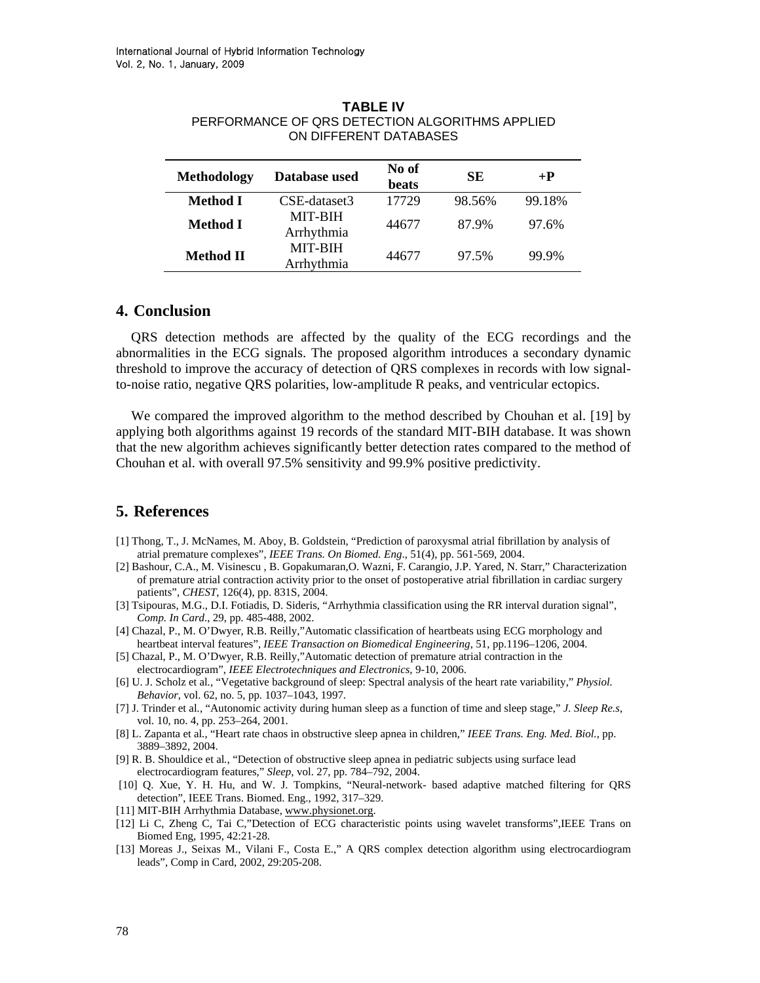| <b>Methodology</b> | Database used                | No of<br>beats | SE     | $+{\bf P}$ |
|--------------------|------------------------------|----------------|--------|------------|
| Method I           | CSE-dataset3                 | 17729          | 98.56% | 99.18%     |
| Method I           | <b>MIT-BIH</b><br>Arrhythmia | 44677          | 87.9%  | 97.6%      |
| <b>Method II</b>   | <b>MIT-BIH</b><br>Arrhythmia | 44677          | 97.5%  | 99.9%      |

#### **TABLE IV**  PERFORMANCE OF QRS DETECTION ALGORITHMS APPLIED ON DIFFERENT DATABASES

### **4. Conclusion**

QRS detection methods are affected by the quality of the ECG recordings and the abnormalities in the ECG signals. The proposed algorithm introduces a secondary dynamic threshold to improve the accuracy of detection of QRS complexes in records with low signalto-noise ratio, negative QRS polarities, low-amplitude R peaks, and ventricular ectopics.

We compared the improved algorithm to the method described by Chouhan et al. [19] by applying both algorithms against 19 records of the standard MIT-BIH database. It was shown that the new algorithm achieves significantly better detection rates compared to the method of Chouhan et al. with overall 97.5% sensitivity and 99.9% positive predictivity.

## **5. References**

- [1] Thong, T., J. McNames, M. Aboy, B. Goldstein, "Prediction of paroxysmal atrial fibrillation by analysis of atrial premature complexes", *IEEE Trans. On Biomed. Eng*., 51(4), pp. 561-569, 2004.
- [2] Bashour, C.A., M. Visinescu , B. Gopakumaran,O. Wazni, F. Carangio, J.P. Yared, N. Starr," Characterization of premature atrial contraction activity prior to the onset of postoperative atrial fibrillation in cardiac surgery patients", *CHEST*, 126(4), pp. 831S, 2004.
- [3] Tsipouras, M.G., D.I. Fotiadis, D. Sideris, "Arrhythmia classification using the RR interval duration signal", *Comp. In Card*., 29, pp. 485-488, 2002.
- [4] Chazal, P., M. O'Dwyer, R.B. Reilly,"Automatic classification of heartbeats using ECG morphology and heartbeat interval features", *IEEE Transaction on Biomedical Engineering*, 51, pp.1196–1206, 2004.
- [5] Chazal, P., M. O'Dwyer, R.B. Reilly,"Automatic detection of premature atrial contraction in the electrocardiogram", *IEEE Electrotechniques and Electronics*, 9-10, 2006.
- [6] U. J. Scholz et al*.*, "Vegetative background of sleep: Spectral analysis of the heart rate variability," *Physiol. Behavior*, vol. 62, no. 5, pp. 1037–1043, 1997.
- [7] J. Trinder et al*.*, "Autonomic activity during human sleep as a function of time and sleep stage," *J. Sleep Re.s*, vol. 10, no. 4, pp. 253–264, 2001.
- [8] L. Zapanta et al*.*, "Heart rate chaos in obstructive sleep apnea in children," *IEEE Trans. Eng. Med. Biol.*, pp. 3889–3892, 2004.
- [9] R. B. Shouldice et al*.*, "Detection of obstructive sleep apnea in pediatric subjects using surface lead electrocardiogram features," *Sleep*, vol. 27, pp. 784–792, 2004.
- [10] Q. Xue, Y. H. Hu, and W. J. Tompkins, "Neural-network- based adaptive matched filtering for QRS detection", IEEE Trans. Biomed. Eng., 1992, 317–329.
- [11] MIT-BIH Arrhythmia Database, [www.physionet.org.](http://www.physionet.org/)
- [12] Li C, Zheng C, Tai C,"Detection of ECG characteristic points using wavelet transforms",IEEE Trans on Biomed Eng, 1995, 42:21-28.
- [13] Moreas J., Seixas M., Vilani F., Costa E.," A QRS complex detection algorithm using electrocardiogram leads", Comp in Card, 2002, 29:205-208.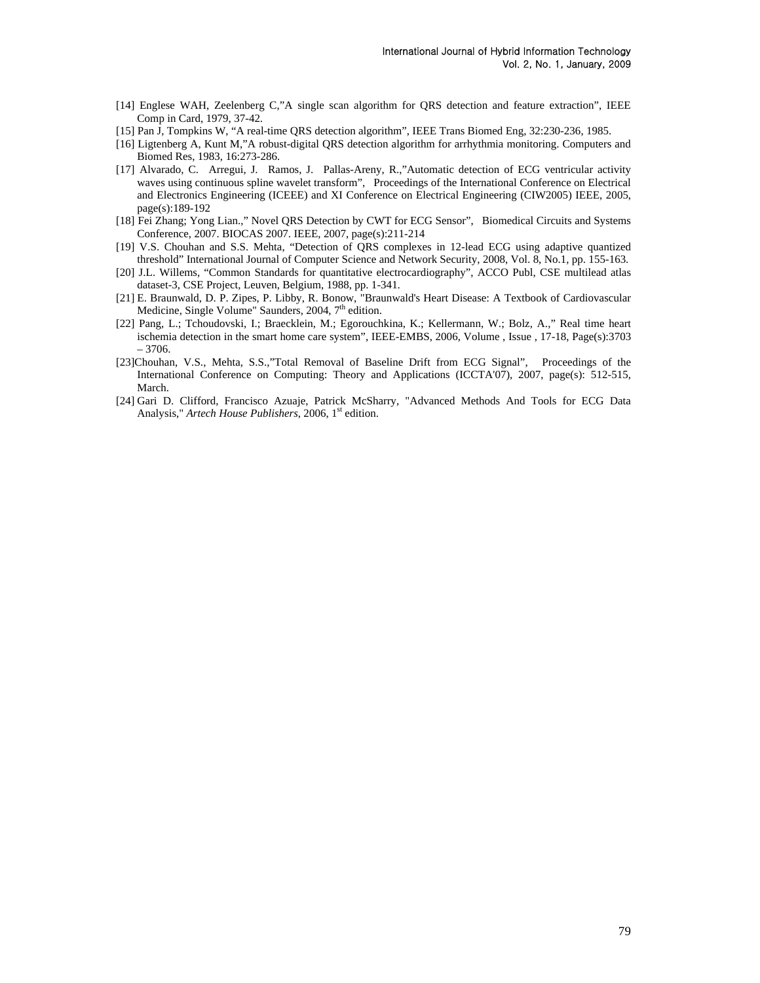- [14] Englese WAH, Zeelenber[g C](http://www.biomedical-engineering-online.com/sfx_links.asp?ui=1475-925X-3-28&bibl=B7),"A single scan algorithm for QRS detection and feature extraction", IEEE Comp in Card, 1979, 37-42.
- [15] Pan J, Tompkins W, "A real-time QRS detection algorithm", IEEE Trans Biomed Eng, 32:230-236, 1985.
- [16] Ligtenberg A, Kunt M,"A robust-digital QRS detection algorithm for arrhythmia monitoring. Computers and Biomed Res, 1983, 16:273-286.
- [17] Alvarado, C. Arregui, J. Ramos, J. Pallas-Areny, R.,"Automatic detection of ECG ventricular activity waves using continuous spline wavelet transform", Proceedings of the International Conference on Electrical and Electronics Engineering (ICEEE) and XI Conference on Electrical Engineering (CIW2005) IEEE, 2005, page(s):189-192
- [18] Fei Zhang; Yong Lian.," Novel QRS Detection by CWT for ECG Sensor", Biomedical Circuits and Systems Conference, 2007. BIOCAS 2007. IEEE, 2007, page(s):211-214
- [19] V.S. Chouhan and S.S. Mehta, "Detection of QRS complexes in 12-lead ECG using adaptive quantized threshold" International Journal of Computer Science and Network Security, 2008, Vol. 8, No.1, pp. 155-163.
- [20] J.L. Willems, "Common Standards for quantitative electrocardiography", ACCO Publ, CSE multilead atlas dataset-3, CSE Project, Leuven, Belgium, 1988, pp. 1-341.
- [21] E. Braunwald, D. P. Zipes, P. Libby, R. Bonow, "Braunwald's Heart Disease: A Textbook of Cardiovascular Medicine, Single Volume" Saunders, 2004,  $7<sup>th</sup>$  edition.
- [22] Pang, L.; Tchoudovski, I.; Braecklein, M.; Egorouchkina, K.; Kellermann, W.; Bolz, A.," Real time heart ischemia detection in the smart home care system", IEEE-EMBS, 2006, Volume , Issue , 17-18, Page(s):3703 – 3706.
- [23]Chouhan, V.S., Mehta, S.S.,"Total Removal of Baseline Drift from ECG Signal", Proceedings of the International Conference on Computing: Theory and Applications (ICCTA'07), 2007, page(s): 512-515, March.
- [24] Gari D. Clifford, Francisco Azuaje, Patrick McSharry, "Advanced Methods And Tools for ECG Data Analysis," *Artech House Publishers*, 2006, 1<sup>st</sup> edition.